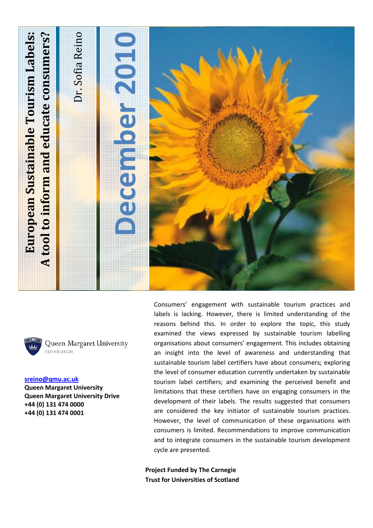



Queen Margaret University EDINBURGH

**sreino@qmu.ac.uk Queen Margaret University Queen Margaret University Drive +44 (0) 131 474 0000 +44 (0) 131 474 0001** 

Consumers' engagement with sustainable tourism practices and labels is lacking. However, there is limited understanding of the reasons behind this. In order to explore the topic, this study examined the views expressed by sustainable tourism labelling organisations about consumers' engagement. This includes obtaining an insight into the level of awareness and understanding that sustainable tourism label certifiers have about consumers; exploring the level of consumer education currently undertaken by sustainable tourism label certifiers; and examining the perceived benefit and limitations that these certifiers have on engaging consumers in the development of their labels. The results suggested that consumers are considered the key initiator of sustainable tourism practices. However, the level of communication of these organisations with consumers is limited. Recommendations to improve communication and to integrate consumers in the sustainable tourism development cycle are presented.

**Project Funded by The Carnegie Trust for Universities of Scotland**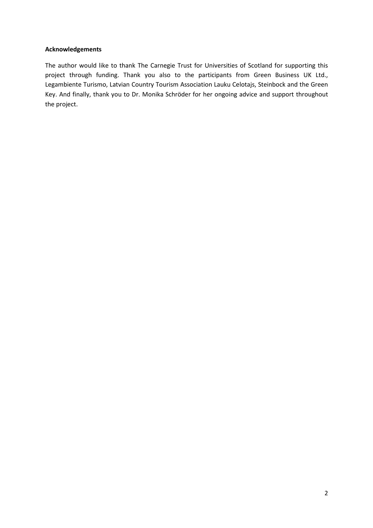### **Acknowledgements**

The author would like to thank The Carnegie Trust for Universities of Scotland for supporting this project through funding. Thank you also to the participants from Green Business UK Ltd., Legambiente Turismo, Latvian Country Tourism Association Lauku Celotajs, Steinbock and the Green Key. And finally, thank you to Dr. Monika Schröder for her ongoing advice and support throughout the project.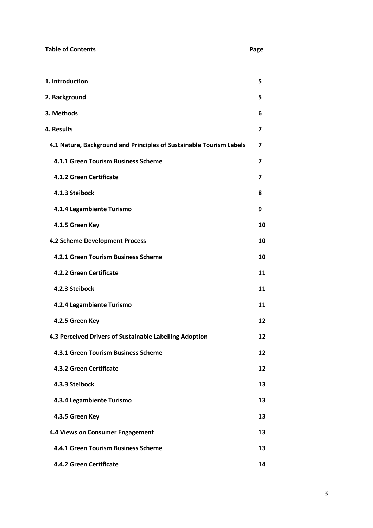| <b>Table of Contents</b>                                            | Page |
|---------------------------------------------------------------------|------|
| 1. Introduction                                                     | 5    |
| 2. Background                                                       | 5    |
| 3. Methods                                                          | 6    |
| 4. Results                                                          | 7    |
| 4.1 Nature, Background and Principles of Sustainable Tourism Labels | 7    |
| 4.1.1 Green Tourism Business Scheme                                 | 7    |
| 4.1.2 Green Certificate                                             | 7    |
| 4.1.3 Steibock                                                      | 8    |
| 4.1.4 Legambiente Turismo                                           | 9    |
| 4.1.5 Green Key                                                     | 10   |
| 4.2 Scheme Development Process                                      | 10   |
| 4.2.1 Green Tourism Business Scheme                                 | 10   |
| 4.2.2 Green Certificate                                             | 11   |
| 4.2.3 Steibock                                                      | 11   |
| 4.2.4 Legambiente Turismo                                           | 11   |
| 4.2.5 Green Key                                                     | 12   |
| 4.3 Perceived Drivers of Sustainable Labelling Adoption             | 12   |
| 4.3.1 Green Tourism Business Scheme                                 | 12   |
| 4.3.2 Green Certificate                                             | 12   |
| 4.3.3 Steibock                                                      | 13   |
| 4.3.4 Legambiente Turismo                                           | 13   |
| 4.3.5 Green Key                                                     | 13   |
| 4.4 Views on Consumer Engagement                                    | 13   |
| 4.4.1 Green Tourism Business Scheme                                 | 13   |
|                                                                     |      |

**<sup>4.4.2</sup> Green Certificate** 14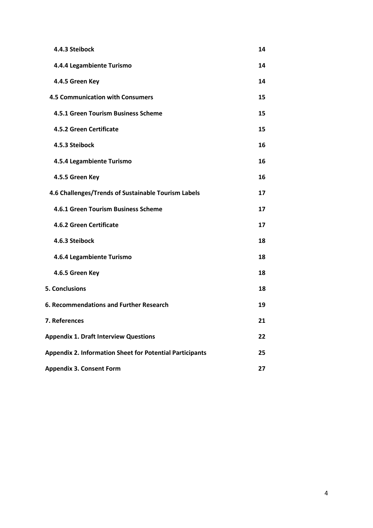| 4.4.3 Steibock                                                  | 14 |
|-----------------------------------------------------------------|----|
| 4.4.4 Legambiente Turismo                                       | 14 |
| 4.4.5 Green Key                                                 | 14 |
| <b>4.5 Communication with Consumers</b>                         | 15 |
| 4.5.1 Green Tourism Business Scheme                             | 15 |
| 4.5.2 Green Certificate                                         | 15 |
| 4.5.3 Steibock                                                  | 16 |
| 4.5.4 Legambiente Turismo                                       | 16 |
| 4.5.5 Green Key                                                 | 16 |
| 4.6 Challenges/Trends of Sustainable Tourism Labels             | 17 |
| 4.6.1 Green Tourism Business Scheme                             | 17 |
| 4.6.2 Green Certificate                                         | 17 |
| 4.6.3 Steibock                                                  | 18 |
| 4.6.4 Legambiente Turismo                                       | 18 |
| 4.6.5 Green Key                                                 | 18 |
| <b>5. Conclusions</b>                                           | 18 |
| 6. Recommendations and Further Research                         | 19 |
| 7. References                                                   | 21 |
| <b>Appendix 1. Draft Interview Questions</b>                    | 22 |
| <b>Appendix 2. Information Sheet for Potential Participants</b> | 25 |
| <b>Appendix 3. Consent Form</b>                                 | 27 |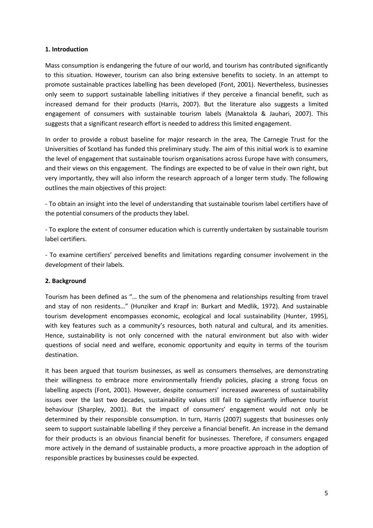#### **1. Introduction**

Mass consumption is endangering the future of our world, and tourism has contributed significantly to this situation. However, tourism can also bring extensive benefits to society. In an attempt to promote sustainable practices labelling has been developed (Font, 2001). Nevertheless, businesses only seem to support sustainable labelling initiatives if they perceive a financial benefit, such as increased demand for their products (Harris, 2007). But the literature also suggests a limited engagement of consumers with sustainable tourism labels (Manaktola & Jauhari, 2007). This suggests that a significant research effort is needed to address this limited engagement.

In order to provide a robust baseline for major research in the area, The Carnegie Trust for the Universities of Scotland has funded this preliminary study. The aim of this initial work is to examine the level of engagement that sustainable tourism organisations across Europe have with consumers, and their views on this engagement. The findings are expected to be of value in their own right, but very importantly, they will also inform the research approach of a longer term study. The following outlines the main objectives of this project:

- To obtain an insight into the level of understanding that sustainable tourism label certifiers have of the potential consumers of the products they label.

- To explore the extent of consumer education which is currently undertaken by sustainable tourism label certifiers.

- To examine certifiers' perceived benefits and limitations regarding consumer involvement in the development of their labels.

## **2. Background**

Tourism has been defined as "… the sum of the phenomena and relationships resulting from travel and stay of non residents…" (Hunziker and Krapf in: Burkart and Medlik, 1972). And sustainable tourism development encompasses economic, ecological and local sustainability (Hunter, 1995), with key features such as a community's resources, both natural and cultural, and its amenities. Hence, sustainability is not only concerned with the natural environment but also with wider questions of social need and welfare, economic opportunity and equity in terms of the tourism destination.

It has been argued that tourism businesses, as well as consumers themselves, are demonstrating their willingness to embrace more environmentally friendly policies, placing a strong focus on labelling aspects (Font, 2001). However, despite consumers' increased awareness of sustainability issues over the last two decades, sustainability values still fail to significantly influence tourist behaviour (Sharpley, 2001). But the impact of consumers' engagement would not only be determined by their responsible consumption. In turn, Harris (2007) suggests that businesses only seem to support sustainable labelling if they perceive a financial benefit. An increase in the demand for their products is an obvious financial benefit for businesses. Therefore, if consumers engaged more actively in the demand of sustainable products, a more proactive approach in the adoption of responsible practices by businesses could be expected.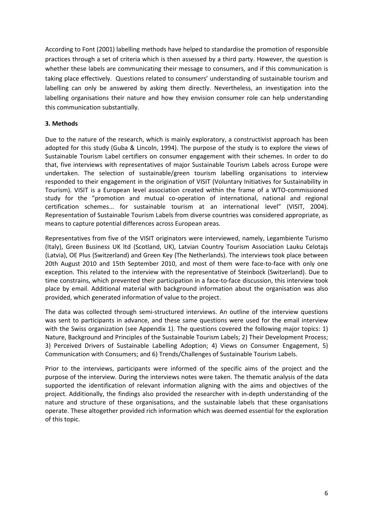According to Font (2001) labelling methods have helped to standardise the promotion of responsible practices through a set of criteria which is then assessed by a third party. However, the question is whether these labels are communicating their message to consumers, and if this communication is taking place effectively. Questions related to consumers' understanding of sustainable tourism and labelling can only be answered by asking them directly. Nevertheless, an investigation into the labelling organisations their nature and how they envision consumer role can help understanding this communication substantially.

#### **3. Methods**

Due to the nature of the research, which is mainly exploratory, a constructivist approach has been adopted for this study (Guba & Lincoln, 1994). The purpose of the study is to explore the views of Sustainable Tourism Label certifiers on consumer engagement with their schemes. In order to do that, five interviews with representatives of major Sustainable Tourism Labels across Europe were undertaken. The selection of sustainable/green tourism labelling organisations to interview responded to their engagement in the origination of VISIT (Voluntary Initiatives for Sustainability in Tourism). VISIT is a European level association created within the frame of a WTO-commissioned study for the "promotion and mutual co-operation of international, national and regional certification schemes... for sustainable tourism at an international level" (VISIT, 2004). Representation of Sustainable Tourism Labels from diverse countries was considered appropriate, as means to capture potential differences across European areas.

Representatives from five of the VISIT originators were interviewed, namely, Legambiente Turismo (Italy), Green Business UK ltd (Scotland, UK), Latvian Country Tourism Association Lauku Celotajs (Latvia), OE Plus (Switzerland) and Green Key (The Netherlands). The interviews took place between 20th August 2010 and 15th September 2010, and most of them were face-to-face with only one exception. This related to the interview with the representative of Steinbock (Switzerland). Due to time constrains, which prevented their participation in a face-to-face discussion, this interview took place by email. Additional material with background information about the organisation was also provided, which generated information of value to the project.

The data was collected through semi-structured interviews. An outline of the interview questions was sent to participants in advance, and these same questions were used for the email interview with the Swiss organization (see Appendix 1). The questions covered the following major topics: 1) Nature, Background and Principles of the Sustainable Tourism Labels; 2) Their Development Process; 3) Perceived Drivers of Sustainable Labelling Adoption; 4) Views on Consumer Engagement, 5) Communication with Consumers; and 6) Trends/Challenges of Sustainable Tourism Labels.

Prior to the interviews, participants were informed of the specific aims of the project and the purpose of the interview. During the interviews notes were taken. The thematic analysis of the data supported the identification of relevant information aligning with the aims and objectives of the project. Additionally, the findings also provided the researcher with in-depth understanding of the nature and structure of these organisations, and the sustainable labels that these organisations operate. These altogether provided rich information which was deemed essential for the exploration of this topic.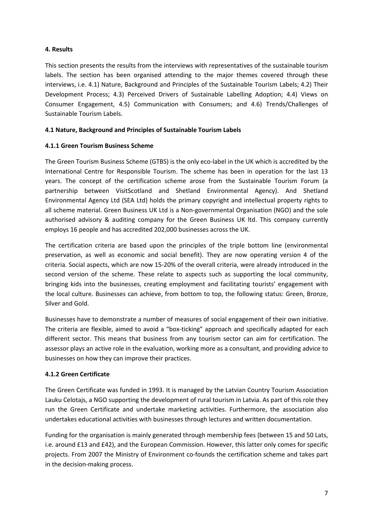## **4. Results**

This section presents the results from the interviews with representatives of the sustainable tourism labels. The section has been organised attending to the major themes covered through these interviews, i.e. 4.1) Nature, Background and Principles of the Sustainable Tourism Labels; 4.2) Their Development Process; 4.3) Perceived Drivers of Sustainable Labelling Adoption; 4.4) Views on Consumer Engagement, 4.5) Communication with Consumers; and 4.6) Trends/Challenges of Sustainable Tourism Labels.

## **4.1 Nature, Background and Principles of Sustainable Tourism Labels**

## **4.1.1 Green Tourism Business Scheme**

The Green Tourism Business Scheme (GTBS) is the only eco-label in the UK which is accredited by the International Centre for Responsible Tourism. The scheme has been in operation for the last 13 years. The concept of the certification scheme arose from the Sustainable Tourism Forum (a partnership between VisitScotland and Shetland Environmental Agency). And Shetland Environmental Agency Ltd (SEA Ltd) holds the primary copyright and intellectual property rights to all scheme material. Green Business UK Ltd is a Non-governmental Organisation (NGO) and the sole authorised advisory & auditing company for the Green Business UK ltd. This company currently employs 16 people and has accredited 202,000 businesses across the UK.

The certification criteria are based upon the principles of the triple bottom line (environmental preservation, as well as economic and social benefit). They are now operating version 4 of the criteria. Social aspects, which are now 15-20% of the overall criteria, were already introduced in the second version of the scheme. These relate to aspects such as supporting the local community, bringing kids into the businesses, creating employment and facilitating tourists' engagement with the local culture. Businesses can achieve, from bottom to top, the following status: Green, Bronze, Silver and Gold.

Businesses have to demonstrate a number of measures of social engagement of their own initiative. The criteria are flexible, aimed to avoid a "box-ticking" approach and specifically adapted for each different sector. This means that business from any tourism sector can aim for certification. The assessor plays an active role in the evaluation, working more as a consultant, and providing advice to businesses on how they can improve their practices.

## **4.1.2 Green Certificate**

The Green Certificate was funded in 1993. It is managed by the Latvian Country Tourism Association Lauku Celotajs, a NGO supporting the development of rural tourism in Latvia. As part of this role they run the Green Certificate and undertake marketing activities. Furthermore, the association also undertakes educational activities with businesses through lectures and written documentation.

Funding for the organisation is mainly generated through membership fees (between 15 and 50 Lats, i.e. around £13 and £42), and the European Commission. However, this latter only comes for specific projects. From 2007 the Ministry of Environment co-founds the certification scheme and takes part in the decision-making process.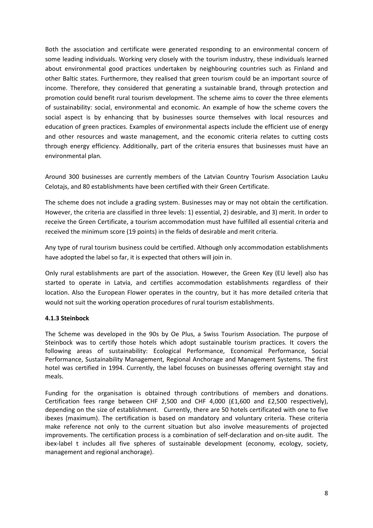Both the association and certificate were generated responding to an environmental concern of some leading individuals. Working very closely with the tourism industry, these individuals learned about environmental good practices undertaken by neighbouring countries such as Finland and other Baltic states. Furthermore, they realised that green tourism could be an important source of income. Therefore, they considered that generating a sustainable brand, through protection and promotion could benefit rural tourism development. The scheme aims to cover the three elements of sustainability: social, environmental and economic. An example of how the scheme covers the social aspect is by enhancing that by businesses source themselves with local resources and education of green practices. Examples of environmental aspects include the efficient use of energy and other resources and waste management, and the economic criteria relates to cutting costs through energy efficiency. Additionally, part of the criteria ensures that businesses must have an environmental plan.

Around 300 businesses are currently members of the Latvian Country Tourism Association Lauku Celotajs, and 80 establishments have been certified with their Green Certificate.

The scheme does not include a grading system. Businesses may or may not obtain the certification. However, the criteria are classified in three levels: 1) essential, 2) desirable, and 3) merit. In order to receive the Green Certificate, a tourism accommodation must have fulfilled all essential criteria and received the minimum score (19 points) in the fields of desirable and merit criteria.

Any type of rural tourism business could be certified. Although only accommodation establishments have adopted the label so far, it is expected that others will join in.

Only rural establishments are part of the association. However, the Green Key (EU level) also has started to operate in Latvia, and certifies accommodation establishments regardless of their location. Also the European Flower operates in the country, but it has more detailed criteria that would not suit the working operation procedures of rural tourism establishments.

## **4.1.3 Steinbock**

The Scheme was developed in the 90s by Oe Plus, a Swiss Tourism Association. The purpose of Steinbock was to certify those hotels which adopt sustainable tourism practices. It covers the following areas of sustainability: Ecological Performance, Economical Performance, Social Performance, Sustainability Management, Regional Anchorage and Management Systems. The first hotel was certified in 1994. Currently, the label focuses on businesses offering overnight stay and meals.

Funding for the organisation is obtained through contributions of members and donations. Certification fees range between CHF 2,500 and CHF 4,000 (£1,600 and £2,500 respectively), depending on the size of establishment. Currently, there are 50 hotels certificated with one to five ibexes (maximum). The certification is based on mandatory and voluntary criteria. These criteria make reference not only to the current situation but also involve measurements of projected improvements. The certification process is a combination of self-declaration and on-site audit. The ibex-label t includes all five spheres of sustainable development (economy, ecology, society, management and regional anchorage).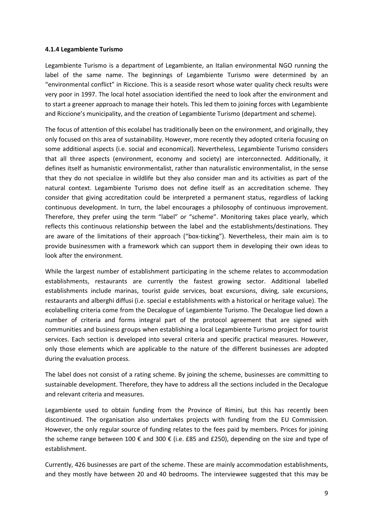#### **4.1.4 Legambiente Turismo**

Legambiente Turismo is a department of Legambiente, an Italian environmental NGO running the label of the same name. The beginnings of Legambiente Turismo were determined by an "environmental conflict" in Riccione. This is a seaside resort whose water quality check results were very poor in 1997. The local hotel association identified the need to look after the environment and to start a greener approach to manage their hotels. This led them to joining forces with Legambiente and Riccione's municipality, and the creation of Legambiente Turismo (department and scheme).

The focus of attention of this ecolabel has traditionally been on the environment, and originally, they only focused on this area of sustainability. However, more recently they adopted criteria focusing on some additional aspects (i.e. social and economical). Nevertheless, Legambiente Turismo considers that all three aspects (environment, economy and society) are interconnected. Additionally, it defines itself as humanistic environmentalist, rather than naturalistic environmentalist, in the sense that they do not specialize in wildlife but they also consider man and its activities as part of the natural context. Legambiente Turismo does not define itself as an accreditation scheme. They consider that giving accreditation could be interpreted a permanent status, regardless of lacking continuous development. In turn, the label encourages a philosophy of continuous improvement. Therefore, they prefer using the term "label" or "scheme". Monitoring takes place yearly, which reflects this continuous relationship between the label and the establishments/destinations. They are aware of the limitations of their approach ("box-ticking"). Nevertheless, their main aim is to provide businessmen with a framework which can support them in developing their own ideas to look after the environment.

While the largest number of establishment participating in the scheme relates to accommodation establishments, restaurants are currently the fastest growing sector. Additional labelled establishments include marinas, tourist guide services, boat excursions, diving, sale excursions, restaurants and alberghi diffusi (i.e. special e establishments with a historical or heritage value). The ecolabelling criteria come from the Decalogue of Legambiente Turismo. The Decalogue lied down a number of criteria and forms integral part of the protocol agreement that are signed with communities and business groups when establishing a local Legambiente Turismo project for tourist services. Each section is developed into several criteria and specific practical measures. However, only those elements which are applicable to the nature of the different businesses are adopted during the evaluation process.

The label does not consist of a rating scheme. By joining the scheme, businesses are committing to sustainable development. Therefore, they have to address all the sections included in the Decalogue and relevant criteria and measures.

Legambiente used to obtain funding from the Province of Rimini, but this has recently been discontinued. The organisation also undertakes projects with funding from the EU Commission. However, the only regular source of funding relates to the fees paid by members. Prices for joining the scheme range between 100 € and 300 € (i.e. £85 and £250), depending on the size and type of establishment.

Currently, 426 businesses are part of the scheme. These are mainly accommodation establishments, and they mostly have between 20 and 40 bedrooms. The interviewee suggested that this may be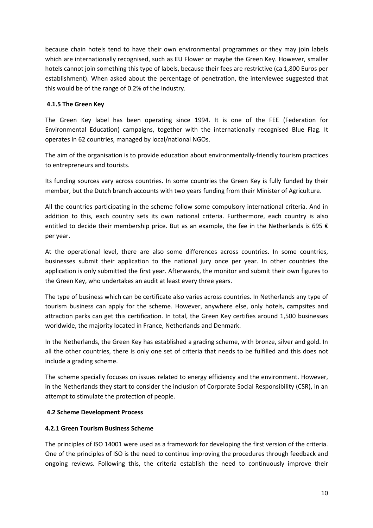because chain hotels tend to have their own environmental programmes or they may join labels which are internationally recognised, such as EU Flower or maybe the Green Key. However, smaller hotels cannot join something this type of labels, because their fees are restrictive (ca 1,800 Euros per establishment). When asked about the percentage of penetration, the interviewee suggested that this would be of the range of 0.2% of the industry.

## **4.1.5 The Green Key**

The Green Key label has been operating since 1994. It is one of the FEE (Federation for Environmental Education) campaigns, together with the internationally recognised Blue Flag. It operates in 62 countries, managed by local/national NGOs.

The aim of the organisation is to provide education about environmentally-friendly tourism practices to entrepreneurs and tourists.

Its funding sources vary across countries. In some countries the Green Key is fully funded by their member, but the Dutch branch accounts with two years funding from their Minister of Agriculture.

All the countries participating in the scheme follow some compulsory international criteria. And in addition to this, each country sets its own national criteria. Furthermore, each country is also entitled to decide their membership price. But as an example, the fee in the Netherlands is 695  $\epsilon$ per year.

At the operational level, there are also some differences across countries. In some countries, businesses submit their application to the national jury once per year. In other countries the application is only submitted the first year. Afterwards, the monitor and submit their own figures to the Green Key, who undertakes an audit at least every three years.

The type of business which can be certificate also varies across countries. In Netherlands any type of tourism business can apply for the scheme. However, anywhere else, only hotels, campsites and attraction parks can get this certification. In total, the Green Key certifies around 1,500 businesses worldwide, the majority located in France, Netherlands and Denmark.

In the Netherlands, the Green Key has established a grading scheme, with bronze, silver and gold. In all the other countries, there is only one set of criteria that needs to be fulfilled and this does not include a grading scheme.

The scheme specially focuses on issues related to energy efficiency and the environment. However, in the Netherlands they start to consider the inclusion of Corporate Social Responsibility (CSR), in an attempt to stimulate the protection of people.

## **4.2 Scheme Development Process**

## **4.2.1 Green Tourism Business Scheme**

The principles of ISO 14001 were used as a framework for developing the first version of the criteria. One of the principles of ISO is the need to continue improving the procedures through feedback and ongoing reviews. Following this, the criteria establish the need to continuously improve their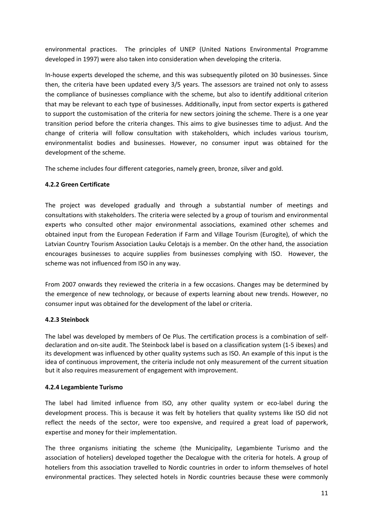environmental practices. The principles of UNEP (United Nations Environmental Programme developed in 1997) were also taken into consideration when developing the criteria.

In-house experts developed the scheme, and this was subsequently piloted on 30 businesses. Since then, the criteria have been updated every 3/5 years. The assessors are trained not only to assess the compliance of businesses compliance with the scheme, but also to identify additional criterion that may be relevant to each type of businesses. Additionally, input from sector experts is gathered to support the customisation of the criteria for new sectors joining the scheme. There is a one year transition period before the criteria changes. This aims to give businesses time to adjust. And the change of criteria will follow consultation with stakeholders, which includes various tourism, environmentalist bodies and businesses. However, no consumer input was obtained for the development of the scheme.

The scheme includes four different categories, namely green, bronze, silver and gold.

## **4.2.2 Green Certificate**

The project was developed gradually and through a substantial number of meetings and consultations with stakeholders. The criteria were selected by a group of tourism and environmental experts who consulted other major environmental associations, examined other schemes and obtained input from the European Federation if Farm and Village Tourism (Eurogite), of which the Latvian Country Tourism Association Lauku Celotajs is a member. On the other hand, the association encourages businesses to acquire supplies from businesses complying with ISO. However, the scheme was not influenced from ISO in any way.

From 2007 onwards they reviewed the criteria in a few occasions. Changes may be determined by the emergence of new technology, or because of experts learning about new trends. However, no consumer input was obtained for the development of the label or criteria.

## **4.2.3 Steinbock**

The label was developed by members of Oe Plus. The certification process is a combination of selfdeclaration and on-site audit. The Steinbock label is based on a classification system (1-5 ibexes) and its development was influenced by other quality systems such as ISO. An example of this input is the idea of continuous improvement, the criteria include not only measurement of the current situation but it also requires measurement of engagement with improvement.

## **4.2.4 Legambiente Turismo**

The label had limited influence from ISO, any other quality system or eco-label during the development process. This is because it was felt by hoteliers that quality systems like ISO did not reflect the needs of the sector, were too expensive, and required a great load of paperwork, expertise and money for their implementation.

The three organisms initiating the scheme (the Municipality, Legambiente Turismo and the association of hoteliers) developed together the Decalogue with the criteria for hotels. A group of hoteliers from this association travelled to Nordic countries in order to inform themselves of hotel environmental practices. They selected hotels in Nordic countries because these were commonly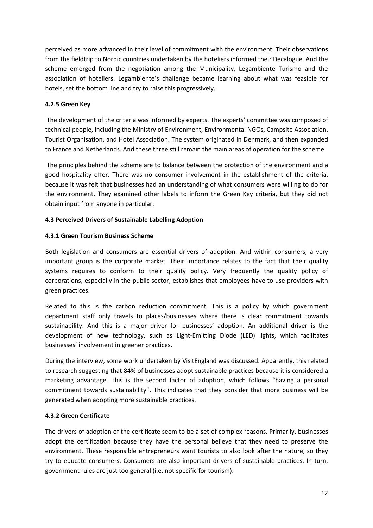perceived as more advanced in their level of commitment with the environment. Their observations from the fieldtrip to Nordic countries undertaken by the hoteliers informed their Decalogue. And the scheme emerged from the negotiation among the Municipality, Legambiente Turismo and the association of hoteliers. Legambiente's challenge became learning about what was feasible for hotels, set the bottom line and try to raise this progressively.

## **4.2.5 Green Key**

 The development of the criteria was informed by experts. The experts' committee was composed of technical people, including the Ministry of Environment, Environmental NGOs, Campsite Association, Tourist Organisation, and Hotel Association. The system originated in Denmark, and then expanded to France and Netherlands. And these three still remain the main areas of operation for the scheme.

 The principles behind the scheme are to balance between the protection of the environment and a good hospitality offer. There was no consumer involvement in the establishment of the criteria, because it was felt that businesses had an understanding of what consumers were willing to do for the environment. They examined other labels to inform the Green Key criteria, but they did not obtain input from anyone in particular.

## **4.3 Perceived Drivers of Sustainable Labelling Adoption**

## **4.3.1 Green Tourism Business Scheme**

Both legislation and consumers are essential drivers of adoption. And within consumers, a very important group is the corporate market. Their importance relates to the fact that their quality systems requires to conform to their quality policy. Very frequently the quality policy of corporations, especially in the public sector, establishes that employees have to use providers with green practices.

Related to this is the carbon reduction commitment. This is a policy by which government department staff only travels to places/businesses where there is clear commitment towards sustainability. And this is a major driver for businesses' adoption. An additional driver is the development of new technology, such as Light-Emitting Diode (LED) lights, which facilitates businesses' involvement in greener practices.

During the interview, some work undertaken by VisitEngland was discussed. Apparently, this related to research suggesting that 84% of businesses adopt sustainable practices because it is considered a marketing advantage. This is the second factor of adoption, which follows "having a personal commitment towards sustainability". This indicates that they consider that more business will be generated when adopting more sustainable practices.

## **4.3.2 Green Certificate**

The drivers of adoption of the certificate seem to be a set of complex reasons. Primarily, businesses adopt the certification because they have the personal believe that they need to preserve the environment. These responsible entrepreneurs want tourists to also look after the nature, so they try to educate consumers. Consumers are also important drivers of sustainable practices. In turn, government rules are just too general (i.e. not specific for tourism).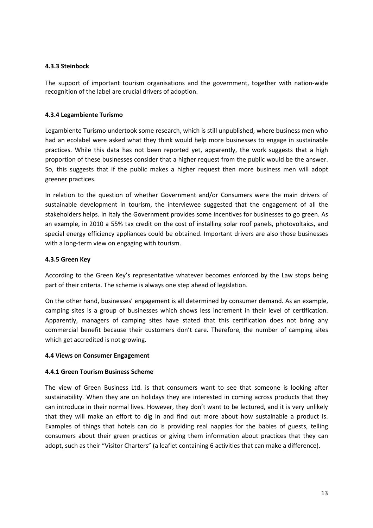### **4.3.3 Steinbock**

The support of important tourism organisations and the government, together with nation-wide recognition of the label are crucial drivers of adoption.

#### **4.3.4 Legambiente Turismo**

Legambiente Turismo undertook some research, which is still unpublished, where business men who had an ecolabel were asked what they think would help more businesses to engage in sustainable practices. While this data has not been reported yet, apparently, the work suggests that a high proportion of these businesses consider that a higher request from the public would be the answer. So, this suggests that if the public makes a higher request then more business men will adopt greener practices.

In relation to the question of whether Government and/or Consumers were the main drivers of sustainable development in tourism, the interviewee suggested that the engagement of all the stakeholders helps. In Italy the Government provides some incentives for businesses to go green. As an example, in 2010 a 55% tax credit on the cost of installing solar roof panels, photovoltaics, and special energy efficiency appliances could be obtained. Important drivers are also those businesses with a long-term view on engaging with tourism.

#### **4.3.5 Green Key**

According to the Green Key's representative whatever becomes enforced by the Law stops being part of their criteria. The scheme is always one step ahead of legislation.

On the other hand, businesses' engagement is all determined by consumer demand. As an example, camping sites is a group of businesses which shows less increment in their level of certification. Apparently, managers of camping sites have stated that this certification does not bring any commercial benefit because their customers don't care. Therefore, the number of camping sites which get accredited is not growing.

#### **4.4 Views on Consumer Engagement**

#### **4.4.1 Green Tourism Business Scheme**

The view of Green Business Ltd. is that consumers want to see that someone is looking after sustainability. When they are on holidays they are interested in coming across products that they can introduce in their normal lives. However, they don't want to be lectured, and it is very unlikely that they will make an effort to dig in and find out more about how sustainable a product is. Examples of things that hotels can do is providing real nappies for the babies of guests, telling consumers about their green practices or giving them information about practices that they can adopt, such as their "Visitor Charters" (a leaflet containing 6 activities that can make a difference).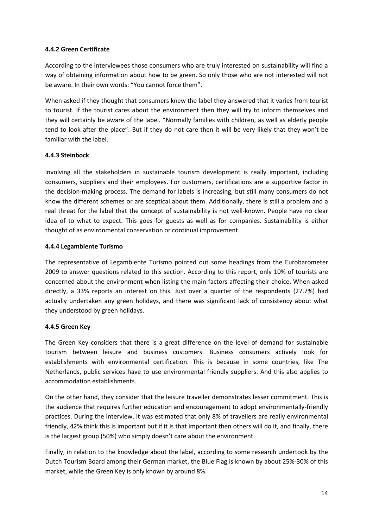### **4.4.2 Green Certificate**

According to the interviewees those consumers who are truly interested on sustainability will find a way of obtaining information about how to be green. So only those who are not interested will not be aware. In their own words: "You cannot force them".

When asked if they thought that consumers knew the label they answered that it varies from tourist to tourist. If the tourist cares about the environment then they will try to inform themselves and they will certainly be aware of the label. "Normally families with children, as well as elderly people tend to look after the place". But if they do not care then it will be very likely that they won't be familiar with the label.

## **4.4.3 Steinbock**

Involving all the stakeholders in sustainable tourism development is really important, including consumers, suppliers and their employees. For customers, certifications are a supportive factor in the decision-making process. The demand for labels is increasing, but still many consumers do not know the different schemes or are sceptical about them. Additionally, there is still a problem and a real threat for the label that the concept of sustainability is not well-known. People have no clear idea of to what to expect. This goes for guests as well as for companies. Sustainability is either thought of as environmental conservation or continual improvement.

#### **4.4.4 Legambiente Turismo**

The representative of Legambiente Turismo pointed out some headings from the Eurobarometer 2009 to answer questions related to this section. According to this report, only 10% of tourists are concerned about the environment when listing the main factors affecting their choice. When asked directly, a 33% reports an interest on this. Just over a quarter of the respondents (27.7%) had actually undertaken any green holidays, and there was significant lack of consistency about what they understood by green holidays.

## **4.4.5 Green Key**

The Green Key considers that there is a great difference on the level of demand for sustainable tourism between leisure and business customers. Business consumers actively look for establishments with environmental certification. This is because in some countries, like The Netherlands, public services have to use environmental friendly suppliers. And this also applies to accommodation establishments.

On the other hand, they consider that the leisure traveller demonstrates lesser commitment. This is the audience that requires further education and encouragement to adopt environmentally-friendly practices. During the interview, it was estimated that only 8% of travellers are really environmental friendly, 42% think this is important but if it is that important then others will do it, and finally, there is the largest group (50%) who simply doesn't care about the environment.

Finally, in relation to the knowledge about the label, according to some research undertook by the Dutch Tourism Board among their German market, the Blue Flag is known by about 25%-30% of this market, while the Green Key is only known by around 8%.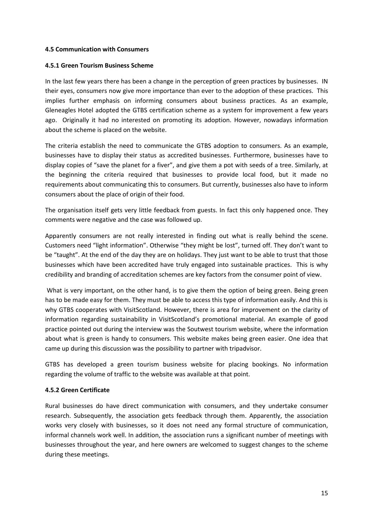#### **4.5 Communication with Consumers**

#### **4.5.1 Green Tourism Business Scheme**

In the last few years there has been a change in the perception of green practices by businesses. IN their eyes, consumers now give more importance than ever to the adoption of these practices. This implies further emphasis on informing consumers about business practices. As an example, Gleneagles Hotel adopted the GTBS certification scheme as a system for improvement a few years ago. Originally it had no interested on promoting its adoption. However, nowadays information about the scheme is placed on the website.

The criteria establish the need to communicate the GTBS adoption to consumers. As an example, businesses have to display their status as accredited businesses. Furthermore, businesses have to display copies of "save the planet for a fiver", and give them a pot with seeds of a tree. Similarly, at the beginning the criteria required that businesses to provide local food, but it made no requirements about communicating this to consumers. But currently, businesses also have to inform consumers about the place of origin of their food.

The organisation itself gets very little feedback from guests. In fact this only happened once. They comments were negative and the case was followed up.

Apparently consumers are not really interested in finding out what is really behind the scene. Customers need "light information". Otherwise "they might be lost", turned off. They don't want to be "taught". At the end of the day they are on holidays. They just want to be able to trust that those businesses which have been accredited have truly engaged into sustainable practices. This is why credibility and branding of accreditation schemes are key factors from the consumer point of view.

What is very important, on the other hand, is to give them the option of being green. Being green has to be made easy for them. They must be able to access this type of information easily. And this is why GTBS cooperates with VisitScotland. However, there is area for improvement on the clarity of information regarding sustainability in VisitScotland's promotional material. An example of good practice pointed out during the interview was the Soutwest tourism website, where the information about what is green is handy to consumers. This website makes being green easier. One idea that came up during this discussion was the possibility to partner with tripadvisor.

GTBS has developed a green tourism business website for placing bookings. No information regarding the volume of traffic to the website was available at that point.

#### **4.5.2 Green Certificate**

Rural businesses do have direct communication with consumers, and they undertake consumer research. Subsequently, the association gets feedback through them. Apparently, the association works very closely with businesses, so it does not need any formal structure of communication, informal channels work well. In addition, the association runs a significant number of meetings with businesses throughout the year, and here owners are welcomed to suggest changes to the scheme during these meetings.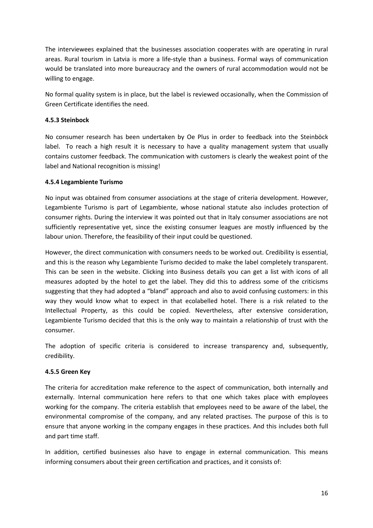The interviewees explained that the businesses association cooperates with are operating in rural areas. Rural tourism in Latvia is more a life-style than a business. Formal ways of communication would be translated into more bureaucracy and the owners of rural accommodation would not be willing to engage.

No formal quality system is in place, but the label is reviewed occasionally, when the Commission of Green Certificate identifies the need.

## **4.5.3 Steinbock**

No consumer research has been undertaken by Oe Plus in order to feedback into the Steinböck label. To reach a high result it is necessary to have a quality management system that usually contains customer feedback. The communication with customers is clearly the weakest point of the label and National recognition is missing!

#### **4.5.4 Legambiente Turismo**

No input was obtained from consumer associations at the stage of criteria development. However, Legambiente Turismo is part of Legambiente, whose national statute also includes protection of consumer rights. During the interview it was pointed out that in Italy consumer associations are not sufficiently representative yet, since the existing consumer leagues are mostly influenced by the labour union. Therefore, the feasibility of their input could be questioned.

However, the direct communication with consumers needs to be worked out. Credibility is essential, and this is the reason why Legambiente Turismo decided to make the label completely transparent. This can be seen in the website. Clicking into Business details you can get a list with icons of all measures adopted by the hotel to get the label. They did this to address some of the criticisms suggesting that they had adopted a "bland" approach and also to avoid confusing customers: in this way they would know what to expect in that ecolabelled hotel. There is a risk related to the Intellectual Property, as this could be copied. Nevertheless, after extensive consideration, Legambiente Turismo decided that this is the only way to maintain a relationship of trust with the consumer.

The adoption of specific criteria is considered to increase transparency and, subsequently, credibility.

#### **4.5.5 Green Key**

The criteria for accreditation make reference to the aspect of communication, both internally and externally. Internal communication here refers to that one which takes place with employees working for the company. The criteria establish that employees need to be aware of the label, the environmental compromise of the company, and any related practises. The purpose of this is to ensure that anyone working in the company engages in these practices. And this includes both full and part time staff.

In addition, certified businesses also have to engage in external communication. This means informing consumers about their green certification and practices, and it consists of: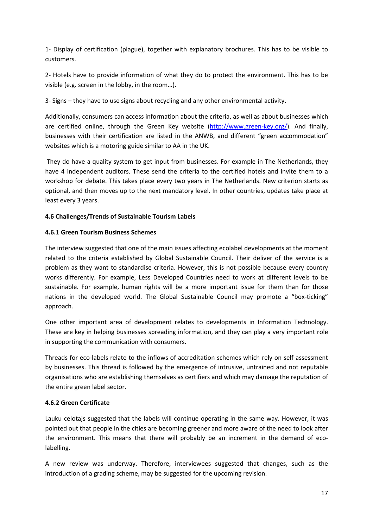1- Display of certification (plague), together with explanatory brochures. This has to be visible to customers.

2- Hotels have to provide information of what they do to protect the environment. This has to be visible (e.g. screen in the lobby, in the room…).

3- Signs – they have to use signs about recycling and any other environmental activity.

Additionally, consumers can access information about the criteria, as well as about businesses which are certified online, through the Green Key website (http://www.green-key.org/). And finally, businesses with their certification are listed in the ANWB, and different "green accommodation" websites which is a motoring guide similar to AA in the UK.

 They do have a quality system to get input from businesses. For example in The Netherlands, they have 4 independent auditors. These send the criteria to the certified hotels and invite them to a workshop for debate. This takes place every two years in The Netherlands. New criterion starts as optional, and then moves up to the next mandatory level. In other countries, updates take place at least every 3 years.

## **4.6 Challenges/Trends of Sustainable Tourism Labels**

## **4.6.1 Green Tourism Business Schemes**

The interview suggested that one of the main issues affecting ecolabel developments at the moment related to the criteria established by Global Sustainable Council. Their deliver of the service is a problem as they want to standardise criteria. However, this is not possible because every country works differently. For example, Less Developed Countries need to work at different levels to be sustainable. For example, human rights will be a more important issue for them than for those nations in the developed world. The Global Sustainable Council may promote a "box-ticking" approach.

One other important area of development relates to developments in Information Technology. These are key in helping businesses spreading information, and they can play a very important role in supporting the communication with consumers.

Threads for eco-labels relate to the inflows of accreditation schemes which rely on self-assessment by businesses. This thread is followed by the emergence of intrusive, untrained and not reputable organisations who are establishing themselves as certifiers and which may damage the reputation of the entire green label sector.

## **4.6.2 Green Certificate**

Lauku celotajs suggested that the labels will continue operating in the same way. However, it was pointed out that people in the cities are becoming greener and more aware of the need to look after the environment. This means that there will probably be an increment in the demand of ecolabelling.

A new review was underway. Therefore, interviewees suggested that changes, such as the introduction of a grading scheme, may be suggested for the upcoming revision.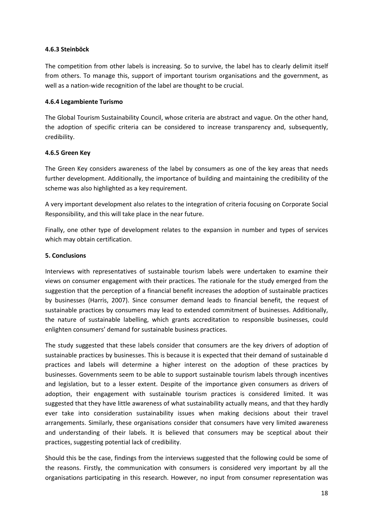#### **4.6.3 Steinböck**

The competition from other labels is increasing. So to survive, the label has to clearly delimit itself from others. To manage this, support of important tourism organisations and the government, as well as a nation-wide recognition of the label are thought to be crucial.

#### **4.6.4 Legambiente Turismo**

The Global Tourism Sustainability Council, whose criteria are abstract and vague. On the other hand, the adoption of specific criteria can be considered to increase transparency and, subsequently, credibility.

#### **4.6.5 Green Key**

The Green Key considers awareness of the label by consumers as one of the key areas that needs further development. Additionally, the importance of building and maintaining the credibility of the scheme was also highlighted as a key requirement.

A very important development also relates to the integration of criteria focusing on Corporate Social Responsibility, and this will take place in the near future.

Finally, one other type of development relates to the expansion in number and types of services which may obtain certification.

#### **5. Conclusions**

Interviews with representatives of sustainable tourism labels were undertaken to examine their views on consumer engagement with their practices. The rationale for the study emerged from the suggestion that the perception of a financial benefit increases the adoption of sustainable practices by businesses (Harris, 2007). Since consumer demand leads to financial benefit, the request of sustainable practices by consumers may lead to extended commitment of businesses. Additionally, the nature of sustainable labelling, which grants accreditation to responsible businesses, could enlighten consumers' demand for sustainable business practices.

The study suggested that these labels consider that consumers are the key drivers of adoption of sustainable practices by businesses. This is because it is expected that their demand of sustainable d practices and labels will determine a higher interest on the adoption of these practices by businesses. Governments seem to be able to support sustainable tourism labels through incentives and legislation, but to a lesser extent. Despite of the importance given consumers as drivers of adoption, their engagement with sustainable tourism practices is considered limited. It was suggested that they have little awareness of what sustainability actually means, and that they hardly ever take into consideration sustainability issues when making decisions about their travel arrangements. Similarly, these organisations consider that consumers have very limited awareness and understanding of their labels. It is believed that consumers may be sceptical about their practices, suggesting potential lack of credibility.

Should this be the case, findings from the interviews suggested that the following could be some of the reasons. Firstly, the communication with consumers is considered very important by all the organisations participating in this research. However, no input from consumer representation was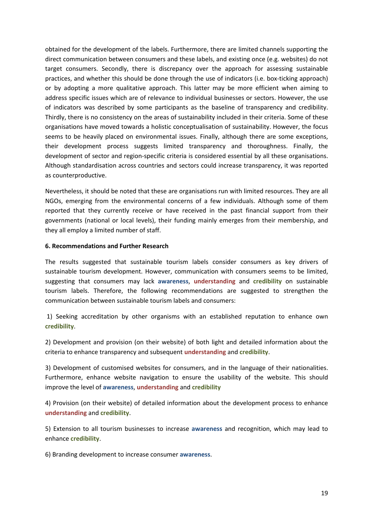obtained for the development of the labels. Furthermore, there are limited channels supporting the direct communication between consumers and these labels, and existing once (e.g. websites) do not target consumers. Secondly, there is discrepancy over the approach for assessing sustainable practices, and whether this should be done through the use of indicators (i.e. box-ticking approach) or by adopting a more qualitative approach. This latter may be more efficient when aiming to address specific issues which are of relevance to individual businesses or sectors. However, the use of indicators was described by some participants as the baseline of transparency and credibility. Thirdly, there is no consistency on the areas of sustainability included in their criteria. Some of these organisations have moved towards a holistic conceptualisation of sustainability. However, the focus seems to be heavily placed on environmental issues. Finally, although there are some exceptions, their development process suggests limited transparency and thoroughness. Finally, the development of sector and region-specific criteria is considered essential by all these organisations. Although standardisation across countries and sectors could increase transparency, it was reported as counterproductive.

Nevertheless, it should be noted that these are organisations run with limited resources. They are all NGOs, emerging from the environmental concerns of a few individuals. Although some of them reported that they currently receive or have received in the past financial support from their governments (national or local levels), their funding mainly emerges from their membership, and they all employ a limited number of staff.

#### **6. Recommendations and Further Research**

The results suggested that sustainable tourism labels consider consumers as key drivers of sustainable tourism development. However, communication with consumers seems to be limited, suggesting that consumers may lack **awareness**, **understanding** and **credibility** on sustainable tourism labels. Therefore, the following recommendations are suggested to strengthen the communication between sustainable tourism labels and consumers:

 1) Seeking accreditation by other organisms with an established reputation to enhance own **credibility**.

2) Development and provision (on their website) of both light and detailed information about the criteria to enhance transparency and subsequent **understanding** and **credibility**.

3) Development of customised websites for consumers, and in the language of their nationalities. Furthermore, enhance website navigation to ensure the usability of the website. This should improve the level of **awareness**, **understanding** and **credibility**

4) Provision (on their website) of detailed information about the development process to enhance **understanding** and **credibility**.

5) Extension to all tourism businesses to increase **awareness** and recognition, which may lead to enhance **credibility**.

6) Branding development to increase consumer **awareness**.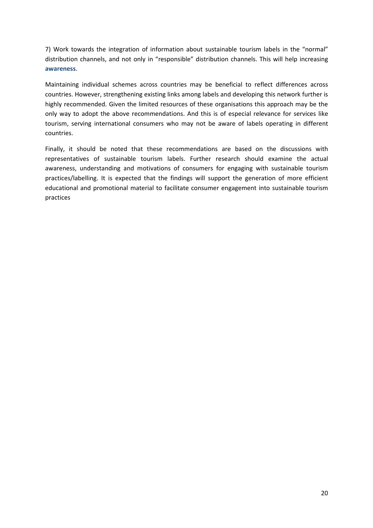7) Work towards the integration of information about sustainable tourism labels in the "normal" distribution channels, and not only in "responsible" distribution channels. This will help increasing **awareness**.

Maintaining individual schemes across countries may be beneficial to reflect differences across countries. However, strengthening existing links among labels and developing this network further is highly recommended. Given the limited resources of these organisations this approach may be the only way to adopt the above recommendations. And this is of especial relevance for services like tourism, serving international consumers who may not be aware of labels operating in different countries.

Finally, it should be noted that these recommendations are based on the discussions with representatives of sustainable tourism labels. Further research should examine the actual awareness, understanding and motivations of consumers for engaging with sustainable tourism practices/labelling. It is expected that the findings will support the generation of more efficient educational and promotional material to facilitate consumer engagement into sustainable tourism practices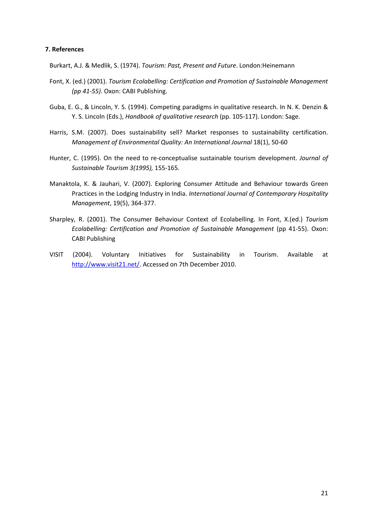#### **7. References**

Burkart, A.J. & Medlik, S. (1974). *Tourism: Past, Present and Future*. London:Heinemann

- Font, X. (ed.) (2001). *Tourism Ecolabelling: Certification and Promotion of Sustainable Management (pp 41-55)*. Oxon: CABI Publishing.
- Guba, E. G., & Lincoln, Y. S. (1994). Competing paradigms in qualitative research. In N. K. Denzin & Y. S. Lincoln (Eds.), *Handbook of qualitative research* (pp. 105-117). London: Sage.
- Harris, S.M. (2007). Does sustainability sell? Market responses to sustainability certification. *Management of Environmental Quality: An International Journal* 18(1), 50-60
- Hunter, C. (1995). On the need to re-conceptualise sustainable tourism development. *Journal of Sustainable Tourism 3(1995),* 155-165.
- Manaktola, K. & Jauhari, V. (2007). Exploring Consumer Attitude and Behaviour towards Green Practices in the Lodging Industry in India. *International Journal of Contemporary Hospitality Management*, 19(5), 364-377.
- Sharpley, R. (2001). The Consumer Behaviour Context of Ecolabelling. In Font, X.(ed.) *Tourism Ecolabelling: Certification and Promotion of Sustainable Management* (pp 41-55). Oxon: CABI Publishing
- VISIT (2004). Voluntary Initiatives for Sustainability in Tourism. Available at http://www.visit21.net/. Accessed on 7th December 2010.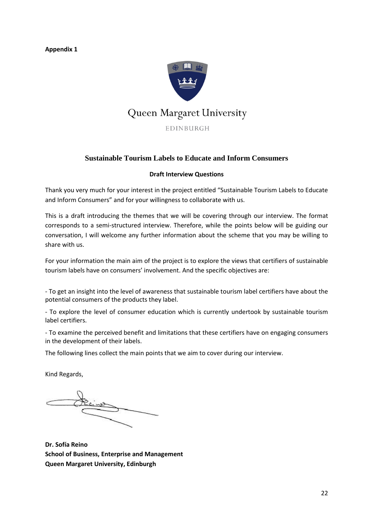**Appendix 1** 



## **Sustainable Tourism Labels to Educate and Inform Consumers**

#### **Draft Interview Questions**

Thank you very much for your interest in the project entitled "Sustainable Tourism Labels to Educate and Inform Consumers" and for your willingness to collaborate with us.

This is a draft introducing the themes that we will be covering through our interview. The format corresponds to a semi-structured interview. Therefore, while the points below will be guiding our conversation, I will welcome any further information about the scheme that you may be willing to share with us.

For your information the main aim of the project is to explore the views that certifiers of sustainable tourism labels have on consumers' involvement. And the specific objectives are:

- To get an insight into the level of awareness that sustainable tourism label certifiers have about the potential consumers of the products they label.

- To explore the level of consumer education which is currently undertook by sustainable tourism label certifiers.

- To examine the perceived benefit and limitations that these certifiers have on engaging consumers in the development of their labels.

The following lines collect the main points that we aim to cover during our interview.

Kind Regards,

**Dr. Sofía Reino School of Business, Enterprise and Management Queen Margaret University, Edinburgh**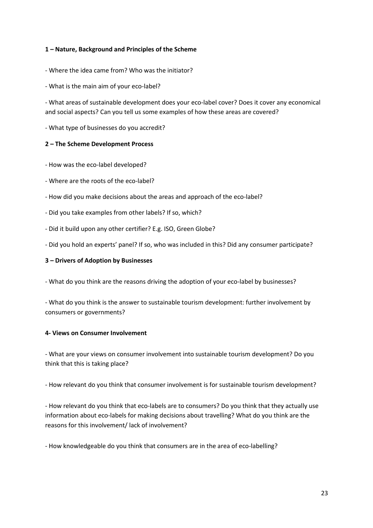#### **1 – Nature, Background and Principles of the Scheme**

- Where the idea came from? Who was the initiator?
- What is the main aim of your eco-label?

- What areas of sustainable development does your eco-label cover? Does it cover any economical and social aspects? Can you tell us some examples of how these areas are covered?

- What type of businesses do you accredit?

#### **2 – The Scheme Development Process**

- How was the eco-label developed?
- Where are the roots of the eco-label?
- How did you make decisions about the areas and approach of the eco-label?
- Did you take examples from other labels? If so, which?
- Did it build upon any other certifier? E.g. ISO, Green Globe?
- Did you hold an experts' panel? If so, who was included in this? Did any consumer participate?

#### **3 – Drivers of Adoption by Businesses**

- What do you think are the reasons driving the adoption of your eco-label by businesses?

- What do you think is the answer to sustainable tourism development: further involvement by consumers or governments?

#### **4- Views on Consumer Involvement**

- What are your views on consumer involvement into sustainable tourism development? Do you think that this is taking place?

- How relevant do you think that consumer involvement is for sustainable tourism development?

- How relevant do you think that eco-labels are to consumers? Do you think that they actually use information about eco-labels for making decisions about travelling? What do you think are the reasons for this involvement/ lack of involvement?

- How knowledgeable do you think that consumers are in the area of eco-labelling?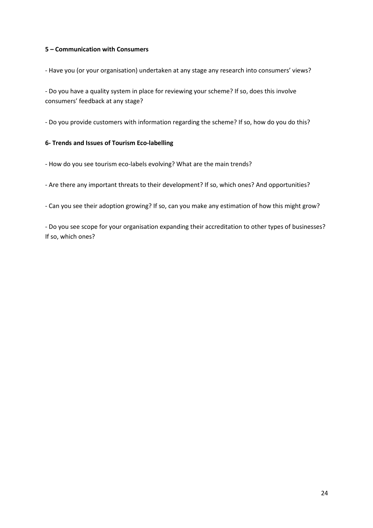### **5 – Communication with Consumers**

- Have you (or your organisation) undertaken at any stage any research into consumers' views?

- Do you have a quality system in place for reviewing your scheme? If so, does this involve consumers' feedback at any stage?

- Do you provide customers with information regarding the scheme? If so, how do you do this?

#### **6- Trends and Issues of Tourism Eco-labelling**

- How do you see tourism eco-labels evolving? What are the main trends?

- Are there any important threats to their development? If so, which ones? And opportunities?

- Can you see their adoption growing? If so, can you make any estimation of how this might grow?

- Do you see scope for your organisation expanding their accreditation to other types of businesses? If so, which ones?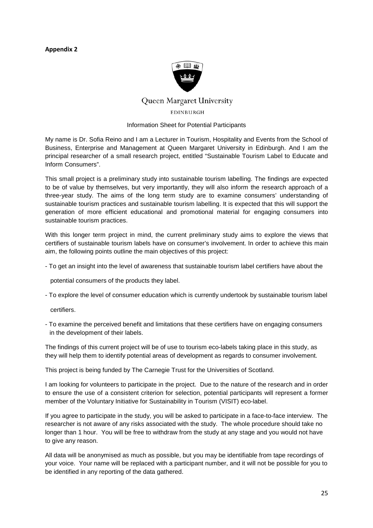#### **Appendix 2**



## Queen Margaret University EDINBURGH

#### Information Sheet for Potential Participants

My name is Dr. Sofia Reino and I am a Lecturer in Tourism, Hospitality and Events from the School of Business, Enterprise and Management at Queen Margaret University in Edinburgh. And I am the principal researcher of a small research project, entitled "Sustainable Tourism Label to Educate and Inform Consumers".

This small project is a preliminary study into sustainable tourism labelling. The findings are expected to be of value by themselves, but very importantly, they will also inform the research approach of a three-year study. The aims of the long term study are to examine consumers' understanding of sustainable tourism practices and sustainable tourism labelling. It is expected that this will support the generation of more efficient educational and promotional material for engaging consumers into sustainable tourism practices.

With this longer term project in mind, the current preliminary study aims to explore the views that certifiers of sustainable tourism labels have on consumer's involvement. In order to achieve this main aim, the following points outline the main objectives of this project:

- To get an insight into the level of awareness that sustainable tourism label certifiers have about the

potential consumers of the products they label.

- To explore the level of consumer education which is currently undertook by sustainable tourism label

certifiers.

- To examine the perceived benefit and limitations that these certifiers have on engaging consumers in the development of their labels.

The findings of this current project will be of use to tourism eco-labels taking place in this study, as they will help them to identify potential areas of development as regards to consumer involvement.

This project is being funded by The Carnegie Trust for the Universities of Scotland.

I am looking for volunteers to participate in the project. Due to the nature of the research and in order to ensure the use of a consistent criterion for selection, potential participants will represent a former member of the Voluntary Initiative for Sustainability in Tourism (VISIT) eco-label.

If you agree to participate in the study, you will be asked to participate in a face-to-face interview. The researcher is not aware of any risks associated with the study. The whole procedure should take no longer than 1 hour. You will be free to withdraw from the study at any stage and you would not have to give any reason.

All data will be anonymised as much as possible, but you may be identifiable from tape recordings of your voice. Your name will be replaced with a participant number, and it will not be possible for you to be identified in any reporting of the data gathered.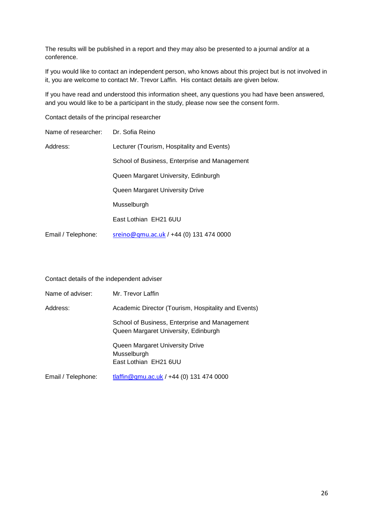The results will be published in a report and they may also be presented to a journal and/or at a conference.

If you would like to contact an independent person, who knows about this project but is not involved in it, you are welcome to contact Mr. Trevor Laffin. His contact details are given below.

If you have read and understood this information sheet, any questions you had have been answered, and you would like to be a participant in the study, please now see the consent form.

Contact details of the principal researcher

| Name of researcher: | Dr. Sofia Reino                               |
|---------------------|-----------------------------------------------|
| Address:            | Lecturer (Tourism, Hospitality and Events)    |
|                     | School of Business, Enterprise and Management |
|                     | Queen Margaret University, Edinburgh          |
|                     | Queen Margaret University Drive               |
|                     | Musselburgh                                   |
|                     | East Lothian EH21 6UU                         |
| Email / Telephone:  | sreino@qmu.ac.uk / +44 (0) 131 474 0000       |

|  | Contact details of the independent adviser |
|--|--------------------------------------------|
|--|--------------------------------------------|

| Name of adviser:   | Mr. Trevor Laffin                                                                                      |
|--------------------|--------------------------------------------------------------------------------------------------------|
| Address:           | Academic Director (Tourism, Hospitality and Events)                                                    |
|                    | School of Business, Enterprise and Management<br>Queen Margaret University, Edinburgh                  |
|                    | Queen Margaret University Drive<br>Musselburgh<br>East Lothian EH21 6UU                                |
| Email / Telephone: | $t\left  \frac{\text{diffin} \mathcal{Q}}{\text{qmu} \cdot \text{acc}} \right $ , 444 (0) 131 474 0000 |